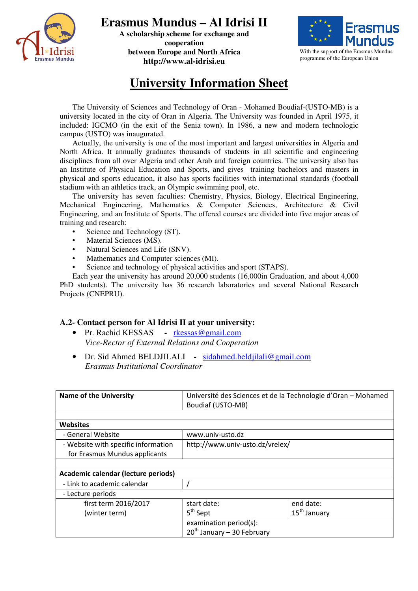

**Erasmus Mundus – Al Idrisi II** 

**A scholarship scheme for exchange and cooperation between Europe and North Africa http://www.al-idrisi.eu** 



## **University Information Sheet**

The University of Sciences and Technology of Oran - Mohamed Boudiaf-(USTO-MB) is a university located in the city of Oran in Algeria. The University was founded in April 1975, it included: IGCMO (in the exit of the Senia town). In 1986, a new and modern technologic campus (USTO) was inaugurated.

Actually, the university is one of the most important and largest universities in Algeria and North Africa. It annually graduates thousands of students in all scientific and engineering disciplines from all over Algeria and other Arab and foreign countries. The university also has an Institute of Physical Education and Sports, and gives training bachelors and masters in physical and sports education, it also has sports facilities with international standards (football stadium with an athletics track, an Olympic swimming pool, etc.

The university has seven faculties: Chemistry, Physics, Biology, Electrical Engineering, Mechanical Engineering, Mathematics & Computer Sciences, Architecture & Civil Engineering, and an Institute of Sports. The offered courses are divided into five major areas of training and research:

- Science and Technology (ST).
- Material Sciences (MS).
- Natural Sciences and Life (SNV).
- Mathematics and Computer sciences (MI).
- Science and technology of physical activities and sport (STAPS).

Each year the university has around 20,000 students (16,000in Graduation, and about 4,000 PhD students). The university has 36 research laboratories and several National Research Projects (CNEPRU).

## **A.2- Contact person for Al Idrisi II at your university:**

- Pr. Rachid KESSASrkessas@gmail.com *Vice-Rector of External Relations and Cooperation*
- Dr. Sid Ahmed BELDJILALI sidahmed.beldjilali@gmail.com *Erasmus Institutional Coordinator*

| <b>Name of the University</b>       | Université des Sciences et de la Technologie d'Oran - Mohamed |                          |  |  |
|-------------------------------------|---------------------------------------------------------------|--------------------------|--|--|
|                                     | Boudiaf (USTO-MB)                                             |                          |  |  |
|                                     |                                                               |                          |  |  |
| <b>Websites</b>                     |                                                               |                          |  |  |
| - General Website                   | www.univ-usto.dz                                              |                          |  |  |
| - Website with specific information | http://www.univ-usto.dz/vrelex/                               |                          |  |  |
| for Erasmus Mundus applicants       |                                                               |                          |  |  |
|                                     |                                                               |                          |  |  |
| Academic calendar (lecture periods) |                                                               |                          |  |  |
| - Link to academic calendar         |                                                               |                          |  |  |
| - Lecture periods                   |                                                               |                          |  |  |
| first term 2016/2017                | start date:                                                   | end date:                |  |  |
| (winter term)                       | 5 <sup>th</sup> Sept                                          | 15 <sup>th</sup> January |  |  |
|                                     | examination period(s):                                        |                          |  |  |
|                                     | $20th$ January - 30 February                                  |                          |  |  |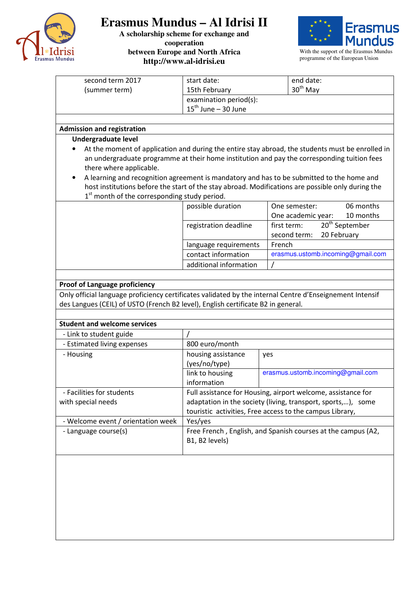

## **Erasmus Mundus – Al Idrisi II**

**A scholarship scheme for exchange and cooperation between Europe and North Africa http://www.al-idrisi.eu** 



With the support of the Erasmus Mundus programme of the European Union

| second term 2017                                                                                                                                                                             | start date:                                                                                                                  |        | end date:                                                                                        |  |
|----------------------------------------------------------------------------------------------------------------------------------------------------------------------------------------------|------------------------------------------------------------------------------------------------------------------------------|--------|--------------------------------------------------------------------------------------------------|--|
| (summer term)                                                                                                                                                                                | 15th February                                                                                                                |        | 30 <sup>th</sup> May                                                                             |  |
|                                                                                                                                                                                              | examination period(s):                                                                                                       |        |                                                                                                  |  |
|                                                                                                                                                                                              | $15^{\text{th}}$ June - 30 June                                                                                              |        |                                                                                                  |  |
|                                                                                                                                                                                              |                                                                                                                              |        |                                                                                                  |  |
| <b>Admission and registration</b>                                                                                                                                                            |                                                                                                                              |        |                                                                                                  |  |
| <b>Undergraduate level</b>                                                                                                                                                                   |                                                                                                                              |        |                                                                                                  |  |
|                                                                                                                                                                                              |                                                                                                                              |        | At the moment of application and during the entire stay abroad, the students must be enrolled in |  |
| an undergraduate programme at their home institution and pay the corresponding tuition fees                                                                                                  |                                                                                                                              |        |                                                                                                  |  |
| there where applicable.                                                                                                                                                                      |                                                                                                                              |        |                                                                                                  |  |
| A learning and recognition agreement is mandatory and has to be submitted to the home and                                                                                                    |                                                                                                                              |        |                                                                                                  |  |
| host institutions before the start of the stay abroad. Modifications are possible only during the                                                                                            |                                                                                                                              |        |                                                                                                  |  |
| $1st$ month of the corresponding study period.                                                                                                                                               |                                                                                                                              |        |                                                                                                  |  |
|                                                                                                                                                                                              | possible duration                                                                                                            |        | 06 months<br>One semester:                                                                       |  |
|                                                                                                                                                                                              |                                                                                                                              |        | One academic year:<br>10 months                                                                  |  |
|                                                                                                                                                                                              | registration deadline                                                                                                        |        | 20 <sup>th</sup> September<br>first term:<br>second term:<br>20 February                         |  |
|                                                                                                                                                                                              |                                                                                                                              |        |                                                                                                  |  |
|                                                                                                                                                                                              | language requirements<br>contact information                                                                                 | French | erasmus.ustomb.incoming@gmail.com                                                                |  |
|                                                                                                                                                                                              | additional information                                                                                                       |        |                                                                                                  |  |
|                                                                                                                                                                                              |                                                                                                                              |        |                                                                                                  |  |
|                                                                                                                                                                                              |                                                                                                                              |        |                                                                                                  |  |
| <b>Proof of Language proficiency</b>                                                                                                                                                         |                                                                                                                              |        |                                                                                                  |  |
| Only official language proficiency certificates validated by the internal Centre d'Enseignement Intensif<br>des Langues (CEIL) of USTO (French B2 level), English certificate B2 in general. |                                                                                                                              |        |                                                                                                  |  |
|                                                                                                                                                                                              |                                                                                                                              |        |                                                                                                  |  |
| <b>Student and welcome services</b>                                                                                                                                                          |                                                                                                                              |        |                                                                                                  |  |
| - Link to student guide                                                                                                                                                                      |                                                                                                                              |        |                                                                                                  |  |
| - Estimated living expenses                                                                                                                                                                  | 800 euro/month                                                                                                               |        |                                                                                                  |  |
| - Housing                                                                                                                                                                                    |                                                                                                                              |        |                                                                                                  |  |
|                                                                                                                                                                                              | housing assistance<br>yes<br>(yes/no/type)                                                                                   |        |                                                                                                  |  |
|                                                                                                                                                                                              | link to housing                                                                                                              |        | erasmus.ustomb.incoming@gmail.com                                                                |  |
|                                                                                                                                                                                              | information                                                                                                                  |        |                                                                                                  |  |
| - Facilities for students                                                                                                                                                                    |                                                                                                                              |        |                                                                                                  |  |
| with special needs                                                                                                                                                                           | Full assistance for Housing, airport welcome, assistance for<br>adaptation in the society (living, transport, sports,), some |        |                                                                                                  |  |
|                                                                                                                                                                                              | touristic activities, Free access to the campus Library,                                                                     |        |                                                                                                  |  |
| - Welcome event / orientation week                                                                                                                                                           | Yes/yes                                                                                                                      |        |                                                                                                  |  |
| - Language course(s)                                                                                                                                                                         | Free French, English, and Spanish courses at the campus (A2,                                                                 |        |                                                                                                  |  |
|                                                                                                                                                                                              | B1, B2 levels)                                                                                                               |        |                                                                                                  |  |
|                                                                                                                                                                                              |                                                                                                                              |        |                                                                                                  |  |
|                                                                                                                                                                                              |                                                                                                                              |        |                                                                                                  |  |
|                                                                                                                                                                                              |                                                                                                                              |        |                                                                                                  |  |
|                                                                                                                                                                                              |                                                                                                                              |        |                                                                                                  |  |
|                                                                                                                                                                                              |                                                                                                                              |        |                                                                                                  |  |
|                                                                                                                                                                                              |                                                                                                                              |        |                                                                                                  |  |
|                                                                                                                                                                                              |                                                                                                                              |        |                                                                                                  |  |
|                                                                                                                                                                                              |                                                                                                                              |        |                                                                                                  |  |
|                                                                                                                                                                                              |                                                                                                                              |        |                                                                                                  |  |
|                                                                                                                                                                                              |                                                                                                                              |        |                                                                                                  |  |